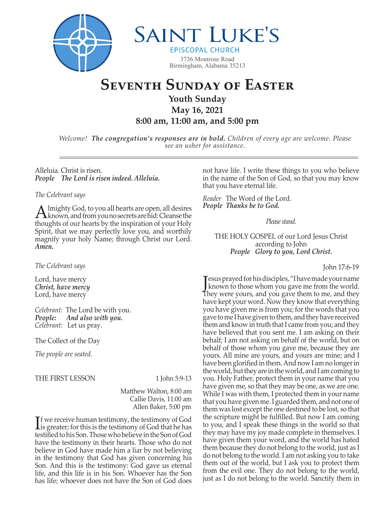

**SAINT LUKE'S** 

**EPISCOPAL CHURCH** 3736 Montrose Road Birmingham, Alabama 35213

# **Seventh Sunday of Easter**

**Youth Sunday May 16, 2021** 

**8:00 am, 11:00 am, and 5:00 pm**

*Welcome! The congregation's responses are in bold. Children of every age are welcome. Please see an usher for assistance.*

Alleluia. Christ is risen. *People The Lord is risen indeed. Alleluia.*

# *The Celebrant says*

A lmighty God, to you all hearts are open, all desires<br>Known, and from you no secrets are hid: Cleanse the thoughts of our hearts by the inspiration of your Holy Spirit, that we may perfectly love you, and worthily magnify your holy Name; through Christ our Lord. *Amen.*

*The Celebrant says*

Lord, have mercy *Christ, have mercy* Lord, have mercy

*Celebrant:* The Lord be with you. *People: And also with you. Celebrant:* Let us pray.

The Collect of the Day

*The people are seated.* 

THE FIRST LESSON 1 John 5:9-13

 Matthew Walton, 8:00 am Callie Davis, 11:00 am Allen Baker, 5:00 pm

If we receive human testimony, the testimony of God<br>is greater; for this is the testimony of God that he has **If we receive human testimony, the testimony of God** testified to his Son. Those who believe in the Son of God have the testimony in their hearts. Those who do not believe in God have made him a liar by not believing in the testimony that God has given concerning his Son. And this is the testimony: God gave us eternal life, and this life is in his Son. Whoever has the Son has life; whoever does not have the Son of God does

not have life. I write these things to you who believe in the name of the Son of God, so that you may know that you have eternal life.

*Reader* The Word of the Lord. *People Thanks be to God.*

*Please stand.*

THE HOLY GOSPEL of our Lord Jesus Christ according to John *People Glory to you, Lord Christ.* 

John 17:6-19

J known to those whom you gave me from the world. esus prayed for his disciples, "I have made your name They were yours, and you gave them to me, and they have kept your word. Now they know that everything you have given me is from you; for the words that you gave to me I have given to them, and they have received them and know in truth that I came from you; and they have believed that you sent me. I am asking on their behalf; I am not asking on behalf of the world, but on behalf of those whom you gave me, because they are yours. All mine are yours, and yours are mine; and I have been glorified in them. And now I am no longer in the world, but they are in the world, and I am coming to you. Holy Father, protect them in your name that you have given me, so that they may be one, as we are one. While I was with them, I protected them in your name that you have given me. I guarded them, and not one of them was lost except the one destined to be lost, so that the scripture might be fulfilled. But now I am coming to you, and I speak these things in the world so that they may have my joy made complete in themselves. I have given them your word, and the world has hated them because they do not belong to the world, just as I do not belong to the world. I am not asking you to take them out of the world, but I ask you to protect them from the evil one. They do not belong to the world, just as I do not belong to the world. Sanctify them in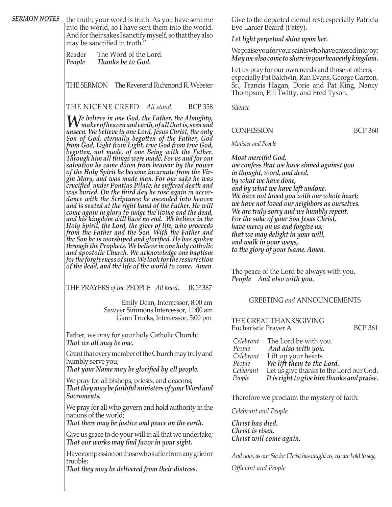**SERMON NOTES** the truth; your word is truth. As you have sent me into the world, so I have sent them into the world. And for their sakes I sanctify myself, so that they also may be sanctified in truth."

> ReaderThe Word of the Lord. *People Thanks be to God.*

THE SERMON The Reverend Richmond R. Webster

THE NICENE CREED *All stand.* BCP 358

*We believe in one God, the Father, the Almighty, maker of heaven and earth, of all that is, seen and unseen. We believe in one Lord, Jesus Christ, the only Son of God, eternally begotten of the Father, God from God, Light from Light, true God from true God, begotten, not made, of one Being with the Father. Through him all things were made. For us and for our salvation he came down from heaven: by the power of the Holy Spirit he became incarnate from the Vir gin Mary, and was made man. For our sake he was crucified under Pontius Pilate; he suffered death and was buried. On the third day he rose again in accor dance with the Scriptures; he ascended into heaven and is seated at the right hand of the Father. He will come again in glory to judge the living and the dead, and his kingdom will have no end. We believe in the Holy Spirit, the Lord, the giver of life, who proceeds from the Father and the Son. With the Father and the Son he is worshiped and glorified. He has spoken through the Prophets. We believe in one holy catholic and apostolic Church. We acknowledge one baptism for the forgiveness of sins. We look for the resurrection of the dead, and the life of the world to come. Amen*.

THE PRAYERS *of the* PEOPLE *All kneel.* BCP 387

 Emily Dean, Intercessor, 8:00 am Sawyer Simmons Intercessor, 11:00 am Gann Trucks, Intercessor, 5:00 pm

Father, we pray for your holy Catholic Church; *That we all may be one.*

Grant that every member of the Church may truly and humbly serve you;

*That your Name may be glorified by all people.*

We pray for all bishops, priests, and deacons; *That they may be faithful ministers of your Word and Sacraments.*

We pray for all who govern and hold authority in the nations of the world;

*That there may be justice and peace on the earth.*

Give us grace to do your will in all that we undertake; *That our works may find favor in your sight.*

Have compassion on those who suffer from any grief or trouble;

*That they may be delivered from their distress.*

Give to the departed eternal rest; especially Patricia Eve Lanier Beaird (Patsy).

### *Let light perpetual shine upon her.*

We praise you for your saints who have entered into joy; *May we also come to share in your heavenly kingdom.*

Let us pray for our own needs and those of others, especially Pat Baldwin, Ran Evans, George Garzon, Sr., Francis Hagan, Dorie and Pat King, Nancy Thompson, Fifi Twitty, and Fred Tyson.

*Silence*

## CONFESSION BCP 360

*Minister and People*

*Most merciful God, we confess that we have sinned against you in thought, word, and deed, by what we have done, and by what we have left undone. We have not loved you with our whole heart; we have not loved our neighbors as ourselves. We are truly sorry and we humbly repent. For the sake of your Son Jesus Christ, have mercy on us and forgive us; that we may delight in your will, and walk in your ways, to the glory of your Name. Amen.*

The peace of the Lord be always with you. *People And also with you.*

#### GREETING *and* ANNOUNCEMENTS

THE GREAT THANKSGIVING Eucharistic Prayer A BCP 361

| Celebrant | The Lord be with you.                      |
|-----------|--------------------------------------------|
| People    | And also with you.                         |
| Celebrant | Lift up your hearts.                       |
| People    | We lift them to the Lord.                  |
| Celebrant | Let us give thanks to the Lord our God.    |
| People    | It is right to give him thanks and praise. |

Therefore we proclaim the mystery of faith:

*Celebrant and People*

*Christ has died. Christ is risen. Christ will come again.*

*And now, as our Savior Christ has taught us, we are bold to say,*

*Officiant and People*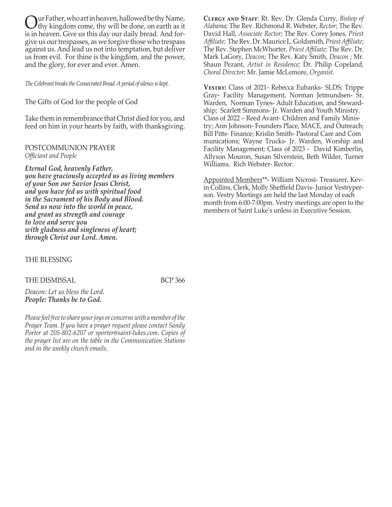ur Father, who art in heaven, hallowed be thy Name, thy kingdom come, thy will be done, on earth as it is in heaven. Give us this day our daily bread. And forgive us our trespasses, as we forgive those who trespass against us. And lead us not into temptation, but deliver us from evil. For thine is the kingdom, and the power, and the glory, for ever and ever. Amen.

*The Celebrant breaks the Consecrated Bread. A period of silence is kept.*

The Gifts of God for the people of God

Take them in remembrance that Christ died for you, and feed on him in your hearts by faith, with thanksgiving.

## POSTCOMMUNION PRAYER *Officiant and People*

*Eternal God, heavenly Father, you have graciously accepted us as living members of your Son our Savior Jesus Christ, and you have fed us with spiritual food in the Sacrament of his Body and Blood. Send us now into the world in peace, and grant us strength and courage to love and serve you with gladness and singleness of heart; through Christ our Lord. Amen.*

THE BLESSING

#### THE DISMISSAL BCP 366

*Deacon: Let us bless the Lord. People: Thanks be to God.* 

*Please feel free to share your joys or concerns with a member of the Prayer Team. If you have a prayer request please contact Sandy Porter at 205-802-6207 or sporter@saint-lukes.com. Copies of the prayer list are on the table in the Communication Stations and in the weekly church emails.*

**Clergy and Staff**: Rt. Rev. Dr. Glenda Curry, *Bishop of Alabama;* The Rev. Richmond R. Webster, *Rector*; The Rev. David Hall, *Associate Rector*; The Rev. Corey Jones, *Priest Affiliate;* The Rev. Dr. Maurice L. Goldsmith, *Priest Affiliate*; The Rev. Stephen McWhorter, *Priest Affiliate;* The Rev. Dr. Mark LaGory, *Deacon*; The Rev. Katy Smith, *Deacon* ; Mr. Shaun Pezant, *Artist in Residence;* Dr. Philip Copeland, *Choral Director;* Mr. Jamie McLemore, *Organist.*

**Vestry:** Class of 2021- Rebecca Eubanks- SLDS; Trippe Gray- Facility Management, Norman Jetmundsen- Sr. Warden, Norman Tynes- Adult Education, and Stewardship; Scarlett Simmons- Jr. Warden and Youth Ministry. Class of 2022 – Reed Avant- Children and Family Ministry; Ann Johnson- Founders Place, MACE, and Outreach; Bill Pitts- Finance; Krislin Smith- Pastoral Care and Com munications; Wayne Trucks- Jr. Warden, Worship and Facility Management; Class of 2023 - David Kimberlin, Allyson Mouron, Susan Silverstein, Beth Wilder, Turner Williams. Rich Webster- Rector.

Appointed Members\*\*- William Nicrosi- Treasurer, Kevin Collins, Clerk, Molly Sheffield Davis- Junior Vestryperson. Vestry Meetings are held the last Monday of each month from 6:00-7:00pm. Vestry meetings are open to the members of Saint Luke's unless in Executive Session.